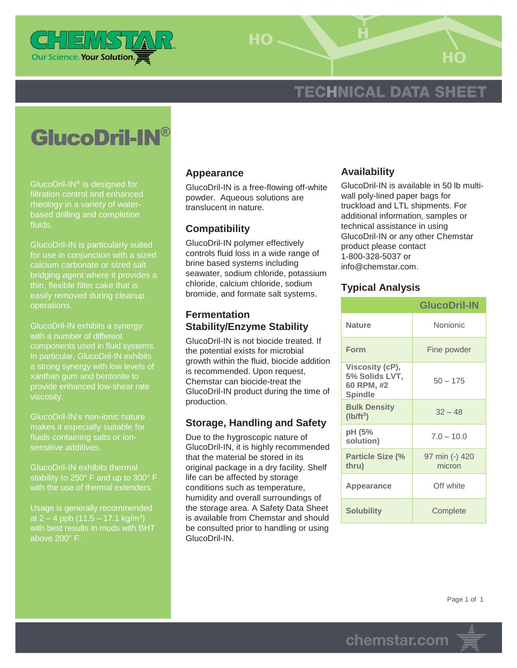

HO-

# **TECHNICAL DATA SHEET**

# GlucoDril-IN®

GlucoDril-IN® is designed for filtration control and enhanced rheology in a variety of waterbased drilling and completion fluids.

GlucoDril-IN is particularly suited for use in conjunction with a sized calcium carbonate or sized salt bridging agent where it provides a thin, flexible filter cake that is easily removed during cleanup operations.

GlucoDril-IN exhibits a synergy with a number of different components used in fluid systems. In particular, GlucoDril-IN exhibits a strong synergy with low levels of xanthan gum and bentonite to provide enhanced low-shear rate viscosity.

GlucoDril-IN's non-ionic nature makes it especially suitable for fluids containing salts or ionsensitive additives.

GlucoDril-IN exhibits thermal stability to 250° F and up to 300° F with the use of thermal extenders.

Usage is generally recommended at 2 – 4 ppb  $(11.5 - 17.1 \text{ kg/m}^3)$ with best results in muds with BHT above 200° F.

#### **Appearance**

GlucoDril-IN is a free-flowing off-white powder. Aqueous solutions are translucent in nature.

#### **Compatibility**

GlucoDril-IN polymer effectively controls fluid loss in a wide range of brine based systems including seawater, sodium chloride, potassium chloride, calcium chloride, sodium bromide, and formate salt systems.

#### **Fermentation Stability/Enzyme Stability**

GlucoDril-IN is not biocide treated. If the potential exists for microbial growth within the fluid, biocide addition is recommended. Upon request, Chemstar can biocide-treat the GlucoDril-IN product during the time of production.

## **Storage, Handling and Safety**

Due to the hygroscopic nature of GlucoDril-IN, it is highly recommended that the material be stored in its original package in a dry facility. Shelf life can be affected by storage conditions such as temperature, humidity and overall surroundings of the storage area. A Safety Data Sheet is available from Chemstar and should be consulted prior to handling or using GlucoDril-IN.

#### **Availability**

GlucoDril-IN is available in 50 lb multiwall poly-lined paper bags for truckload and LTL shipments. For additional information, samples or technical assistance in using GlucoDril-IN or any other Chemstar product please contact 1-800-328-5037 or info@chemstar.com.

### **Typical Analysis**

|                                                                   | <b>GlucoDril-IN</b>      |
|-------------------------------------------------------------------|--------------------------|
| <b>Nature</b>                                                     | Nonionic                 |
| <b>Form</b>                                                       | Fine powder              |
| Viscosity (cP),<br>5% Solids LVT,<br>60 RPM, #2<br><b>Spindle</b> | $50 - 175$               |
| <b>Bulk Density</b><br>$(Ib/ft^3)$                                | $32 - 48$                |
| pH (5%<br>solution)                                               | $7.0 - 10.0$             |
| <b>Particle Size (%</b><br>thru)                                  | 97 min (-) 420<br>micron |
| Appearance                                                        | Off white                |
| <b>Solubility</b>                                                 | Complete                 |